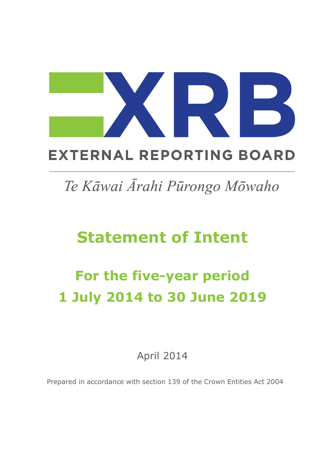## **EXTERNAL REPORTING BOARD**

## Te Kāwai Ārahi Pūrongo Mōwaho

# **Statement of Intent**

# **For the five-year period 1 July 2014 to 30 June 2019**

April 2014

Prepared in accordance with section 139 of the Crown Entities Act 2004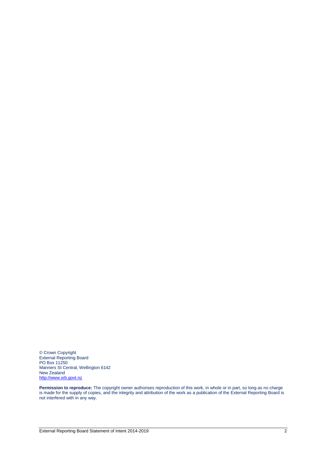© Crown Copyright External Reporting Board PO Box 11250 Manners St Central, Wellington 6142 New Zealand [http://www.xrb.govt.nz](http://www.xrb.govt.nz/)

**Permission to reproduce:** The copyright owner authorises reproduction of this work, in whole or in part, so long as no charge is made for the supply of copies, and the integrity and attribution of the work as a publication of the External Reporting Board is not interfered with in any way.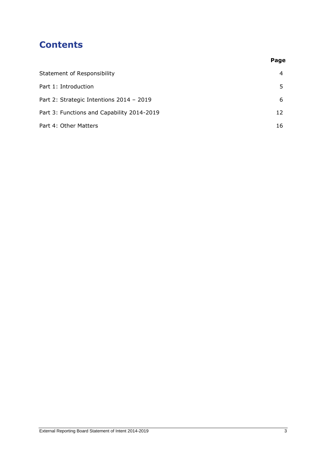### **Contents**

|                                            | Page |
|--------------------------------------------|------|
| <b>Statement of Responsibility</b>         | 4    |
| Part 1: Introduction                       |      |
| Part 2: Strategic Intentions 2014 - 2019   | 6    |
| Part 3: Functions and Capability 2014-2019 | 12   |
| Part 4: Other Matters                      | 16   |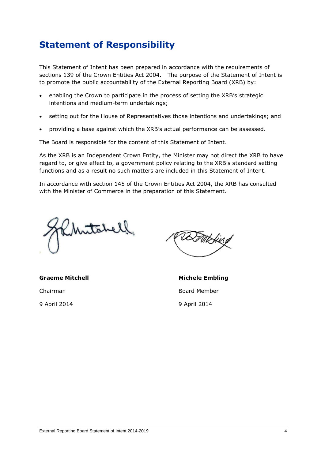## **Statement of Responsibility**

This Statement of Intent has been prepared in accordance with the requirements of sections 139 of the Crown Entities Act 2004. The purpose of the Statement of Intent is to promote the public accountability of the External Reporting Board (XRB) by:

- enabling the Crown to participate in the process of setting the XRB's strategic intentions and medium-term undertakings;
- setting out for the House of Representatives those intentions and undertakings; and
- providing a base against which the XRB's actual performance can be assessed.

The Board is responsible for the content of this Statement of Intent.

As the XRB is an Independent Crown Entity, the Minister may not direct the XRB to have regard to, or give effect to, a government policy relating to the XRB's standard setting functions and as a result no such matters are included in this Statement of Intent.

In accordance with section 145 of the Crown Entities Act 2004, the XRB has consulted with the Minister of Commerce in the preparation of this Statement.

mitchell

Chairman Board Member 9 April 2014 9 April 2014

**Graeme Mitchell Michele Embling**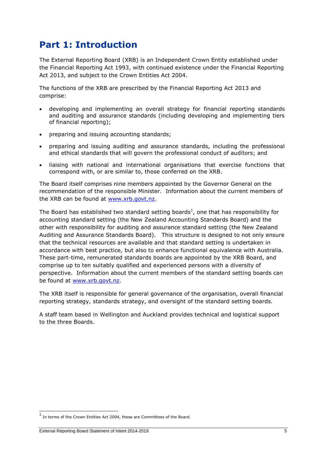### **Part 1: Introduction**

The External Reporting Board (XRB) is an Independent Crown Entity established under the Financial Reporting Act 1993, with continued existence under the Financial Reporting Act 2013, and subject to the Crown Entities Act 2004.

The functions of the XRB are prescribed by the Financial Reporting Act 2013 and comprise:

- developing and implementing an overall strategy for financial reporting standards and auditing and assurance standards (including developing and implementing tiers of financial reporting);
- preparing and issuing accounting standards;
- preparing and issuing auditing and assurance standards, including the professional and ethical standards that will govern the professional conduct of auditors; and
- liaising with national and international organisations that exercise functions that correspond with, or are similar to, those conferred on the XRB.

The Board itself comprises nine members appointed by the Governor General on the recommendation of the responsible Minister. Information about the current members of the XRB can be found at [www.xrb.govt.nz.](http://www.xrb.govt.nz/)

The Board has established two standard setting boards<sup>1</sup>, one that has responsibility for accounting standard setting (the New Zealand Accounting Standards Board) and the other with responsibility for auditing and assurance standard setting (the New Zealand Auditing and Assurance Standards Board). This structure is designed to not only ensure that the technical resources are available and that standard setting is undertaken in accordance with best practice, but also to enhance functional equivalence with Australia. These part-time, remunerated standards boards are appointed by the XRB Board, and comprise up to ten suitably qualified and experienced persons with a diversity of perspective. Information about the current members of the standard setting boards can be found at [www.xrb.govt.nz.](http://www.xrb.govt.nz/)

The XRB itself is responsible for general governance of the organisation, overall financial reporting strategy, standards strategy, and oversight of the standard setting boards.

A staff team based in Wellington and Auckland provides technical and logistical support to the three Boards.

1

<sup>&</sup>lt;sup>1</sup> In terms of the Crown Entities Act 2004, these are Committees of the Board.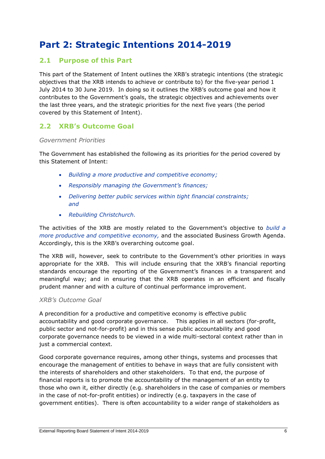## **Part 2: Strategic Intentions 2014-2019**

### **2.1 Purpose of this Part**

This part of the Statement of Intent outlines the XRB's strategic intentions (the strategic objectives that the XRB intends to achieve or contribute to) for the five-year period 1 July 2014 to 30 June 2019. In doing so it outlines the XRB's outcome goal and how it contributes to the Government's goals, the strategic objectives and achievements over the last three years, and the strategic priorities for the next five years (the period covered by this Statement of Intent).

### **2.2 XRB's Outcome Goal**

#### *Government Priorities*

The Government has established the following as its priorities for the period covered by this Statement of Intent:

- *Building a more productive and competitive economy;*
- *Responsibly managing the Government's finances;*
- *Delivering better public services within tight financial constraints; and*
- *Rebuilding Christchurch.*

The activities of the XRB are mostly related to the Government's objective to *build a more productive and competitive economy,* and the associated Business Growth Agenda. Accordingly, this is the XRB's overarching outcome goal.

The XRB will, however, seek to contribute to the Government's other priorities in ways appropriate for the XRB. This will include ensuring that the XRB's financial reporting standards encourage the reporting of the Government's finances in a transparent and meaningful way; and in ensuring that the XRB operates in an efficient and fiscally prudent manner and with a culture of continual performance improvement.

#### *XRB's Outcome Goal*

A precondition for a productive and competitive economy is effective public accountability and good corporate governance. This applies in all sectors (for-profit, public sector and not-for-profit) and in this sense public accountability and good corporate governance needs to be viewed in a wide multi-sectoral context rather than in just a commercial context.

Good corporate governance requires, among other things, systems and processes that encourage the management of entities to behave in ways that are fully consistent with the interests of shareholders and other stakeholders. To that end, the purpose of financial reports is to promote the accountability of the management of an entity to those who own it, either directly (e.g. shareholders in the case of companies or members in the case of not-for-profit entities) or indirectly (e.g. taxpayers in the case of government entities). There is often accountability to a wider range of stakeholders as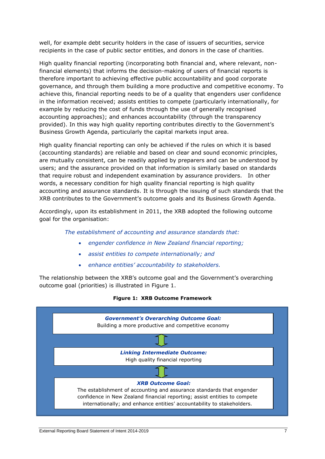well, for example debt security holders in the case of issuers of securities, service recipients in the case of public sector entities, and donors in the case of charities.

High quality financial reporting (incorporating both financial and, where relevant, nonfinancial elements) that informs the decision-making of users of financial reports is therefore important to achieving effective public accountability and good corporate governance, and through them building a more productive and competitive economy. To achieve this, financial reporting needs to be of a quality that engenders user confidence in the information received; assists entities to compete (particularly internationally, for example by reducing the cost of funds through the use of generally recognised accounting approaches); and enhances accountability (through the transparency provided). In this way high quality reporting contributes directly to the Government's Business Growth Agenda, particularly the capital markets input area.

High quality financial reporting can only be achieved if the rules on which it is based (accounting standards) are reliable and based on clear and sound economic principles, are mutually consistent, can be readily applied by preparers and can be understood by users; and the assurance provided on that information is similarly based on standards that require robust and independent examination by assurance providers. In other words, a necessary condition for high quality financial reporting is high quality accounting and assurance standards. It is through the issuing of such standards that the XRB contributes to the Government's outcome goals and its Business Growth Agenda.

Accordingly, upon its establishment in 2011, the XRB adopted the following outcome goal for the organisation:

*The establishment of accounting and assurance standards that:*

- *engender confidence in New Zealand financial reporting;*
- *assist entities to compete internationally; and*
- *enhance entities' accountability to stakeholders.*

The relationship between the XRB's outcome goal and the Government's overarching outcome goal (priorities) is illustrated in Figure 1.



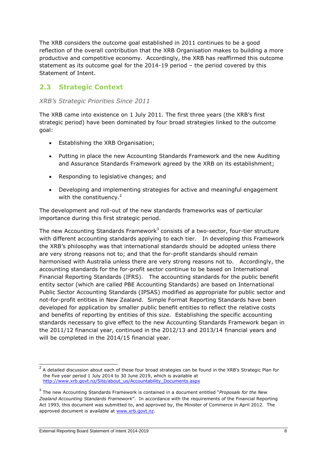The XRB considers the outcome goal established in 2011 continues to be a good reflection of the overall contribution that the XRB Organisation makes to building a more productive and competitive economy. Accordingly, the XRB has reaffirmed this outcome statement as its outcome goal for the 2014-19 period – the period covered by this Statement of Intent.

### **2.3 Strategic Context**

### *XRB's Strategic Priorities Since 2011*

The XRB came into existence on 1 July 2011. The first three years (the XRB's first strategic period) have been dominated by four broad strategies linked to the outcome goal:

- Establishing the XRB Organisation;
- Putting in place the new Accounting Standards Framework and the new Auditing and Assurance Standards Framework agreed by the XRB on its establishment;
- Responding to legislative changes; and
- Developing and implementing strategies for active and meaningful engagement with the constituency.<sup>2</sup>

The development and roll-out of the new standards frameworks was of particular importance during this first strategic period.

The new Accounting Standards Framework<sup>3</sup> consists of a two-sector, four-tier structure with different accounting standards applying to each tier. In developing this Framework the XRB's philosophy was that international standards should be adopted unless there are very strong reasons not to; and that the for-profit standards should remain harmonised with Australia unless there are very strong reasons not to. Accordingly, the accounting standards for the for-profit sector continue to be based on International Financial Reporting Standards (IFRS). The accounting standards for the public benefit entity sector (which are called PBE Accounting Standards) are based on International Public Sector Accounting Standards (IPSAS) modified as appropriate for public sector and not-for-profit entities in New Zealand. Simple Format Reporting Standards have been developed for application by smaller public benefit entities to reflect the relative costs and benefits of reporting by entities of this size. Establishing the specific accounting standards necessary to give effect to the new Accounting Standards Framework began in the 2011/12 financial year, continued in the 2012/13 and 2013/14 financial years and will be completed in the 2014/15 financial year.

 2 A detailed discussion about each of these four broad strategies can be found in the XRB's Strategic Plan for the five year period 1 July 2014 to 30 June 2019, which is available at [http://www.xrb.govt.nz/Site/about\\_us/Accountability\\_Documents.aspx](http://www.xrb.govt.nz/Site/about_us/Accountability_Documents.aspx)

<sup>3</sup> The new Accounting Standards Framework is contained in a document entitled "*Proposals for the New Zealand Accounting Standards Framework*". In accordance with the requirements of the Financial Reporting Act 1993, this document was submitted to, and approved by, the Minister of Commerce in April 2012. The approved document is available at [www.xrb.govt.nz.](http://www.xrb.govt.nz/)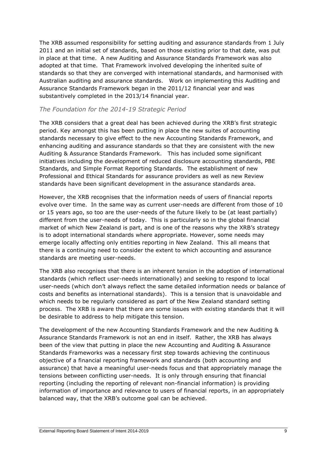The XRB assumed responsibility for setting auditing and assurance standards from 1 July 2011 and an initial set of standards, based on those existing prior to that date, was put in place at that time. A new Auditing and Assurance Standards Framework was also adopted at that time. That Framework involved developing the inherited suite of standards so that they are converged with international standards, and harmonised with Australian auditing and assurance standards. Work on implementing this Auditing and Assurance Standards Framework began in the 2011/12 financial year and was substantively completed in the 2013/14 financial year.

### *The Foundation for the 2014-19 Strategic Period*

The XRB considers that a great deal has been achieved during the XRB's first strategic period. Key amongst this has been putting in place the new suites of accounting standards necessary to give effect to the new Accounting Standards Framework, and enhancing auditing and assurance standards so that they are consistent with the new Auditing & Assurance Standards Framework. This has included some significant initiatives including the development of reduced disclosure accounting standards, PBE Standards, and Simple Format Reporting Standards. The establishment of new Professional and Ethical Standards for assurance providers as well as new Review standards have been significant development in the assurance standards area.

However, the XRB recognises that the information needs of users of financial reports evolve over time. In the same way as current user-needs are different from those of 10 or 15 years ago, so too are the user-needs of the future likely to be (at least partially) different from the user-needs of today. This is particularly so in the global financial market of which New Zealand is part, and is one of the reasons why the XRB's strategy is to adopt international standards where appropriate. However, some needs may emerge locally affecting only entities reporting in New Zealand. This all means that there is a continuing need to consider the extent to which accounting and assurance standards are meeting user-needs.

The XRB also recognises that there is an inherent tension in the adoption of international standards (which reflect user-needs internationally) and seeking to respond to local user-needs (which don't always reflect the same detailed information needs or balance of costs and benefits as international standards). This is a tension that is unavoidable and which needs to be regularly considered as part of the New Zealand standard setting process. The XRB is aware that there are some issues with existing standards that it will be desirable to address to help mitigate this tension.

The development of the new Accounting Standards Framework and the new Auditing & Assurance Standards Framework is not an end in itself. Rather, the XRB has always been of the view that putting in place the new Accounting and Auditing & Assurance Standards Frameworks was a necessary first step towards achieving the continuous objective of a financial reporting framework and standards (both accounting and assurance) that have a meaningful user-needs focus and that appropriately manage the tensions between conflicting user-needs. It is only through ensuring that financial reporting (including the reporting of relevant non-financial information) is providing information of importance and relevance to users of financial reports, in an appropriately balanced way, that the XRB's outcome goal can be achieved.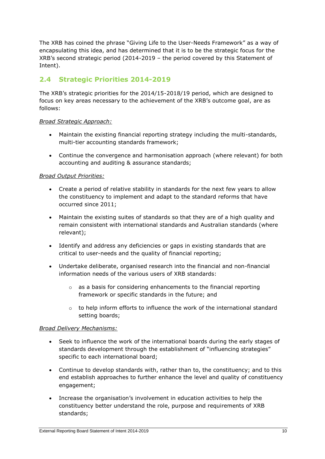The XRB has coined the phrase "Giving Life to the User-Needs Framework" as a way of encapsulating this idea, and has determined that it is to be the strategic focus for the XRB's second strategic period (2014-2019 – the period covered by this Statement of Intent).

### **2.4 Strategic Priorities 2014-2019**

The XRB's strategic priorities for the 2014/15-2018/19 period, which are designed to focus on key areas necessary to the achievement of the XRB's outcome goal, are as follows:

### *Broad Strategic Approach:*

- Maintain the existing financial reporting strategy including the multi-standards, multi-tier accounting standards framework;
- Continue the convergence and harmonisation approach (where relevant) for both accounting and auditing & assurance standards;

### *Broad Output Priorities:*

- Create a period of relative stability in standards for the next few years to allow the constituency to implement and adapt to the standard reforms that have occurred since 2011;
- Maintain the existing suites of standards so that they are of a high quality and remain consistent with international standards and Australian standards (where relevant);
- Identify and address any deficiencies or gaps in existing standards that are critical to user-needs and the quality of financial reporting;
- Undertake deliberate, organised research into the financial and non-financial information needs of the various users of XRB standards:
	- o as a basis for considering enhancements to the financial reporting framework or specific standards in the future; and
	- $\circ$  to help inform efforts to influence the work of the international standard setting boards;

#### *Broad Delivery Mechanisms:*

- Seek to influence the work of the international boards during the early stages of standards development through the establishment of "influencing strategies" specific to each international board;
- Continue to develop standards with, rather than to, the constituency; and to this end establish approaches to further enhance the level and quality of constituency engagement;
- Increase the organisation's involvement in education activities to help the constituency better understand the role, purpose and requirements of XRB standards;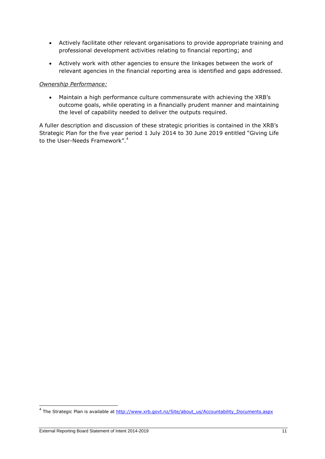- Actively facilitate other relevant organisations to provide appropriate training and professional development activities relating to financial reporting; and
- Actively work with other agencies to ensure the linkages between the work of relevant agencies in the financial reporting area is identified and gaps addressed.

### *Ownership Performance:*

 Maintain a high performance culture commensurate with achieving the XRB's outcome goals, while operating in a financially prudent manner and maintaining the level of capability needed to deliver the outputs required.

A fuller description and discussion of these strategic priorities is contained in the XRB's Strategic Plan for the five year period 1 July 2014 to 30 June 2019 entitled "Giving Life to the User-Needs Framework".<sup>4</sup>

 4 The Strategic Plan is available at [http://www.xrb.govt.nz/Site/about\\_us/Accountability\\_Documents.aspx](http://www.xrb.govt.nz/Site/about_us/Accountability_Documents.aspx)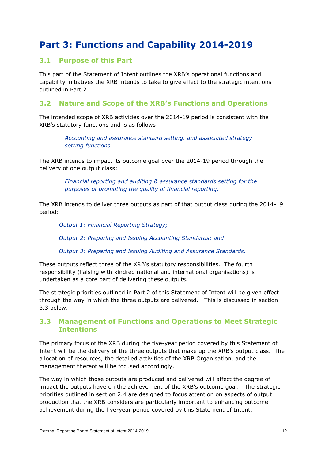## **Part 3: Functions and Capability 2014-2019**

### **3.1 Purpose of this Part**

This part of the Statement of Intent outlines the XRB's operational functions and capability initiatives the XRB intends to take to give effect to the strategic intentions outlined in Part 2.

### **3.2 Nature and Scope of the XRB's Functions and Operations**

The intended scope of XRB activities over the 2014-19 period is consistent with the XRB's statutory functions and is as follows:

> *Accounting and assurance standard setting, and associated strategy setting functions.*

The XRB intends to impact its outcome goal over the 2014-19 period through the delivery of one output class:

> *Financial reporting and auditing & assurance standards setting for the purposes of promoting the quality of financial reporting.*

The XRB intends to deliver three outputs as part of that output class during the 2014-19 period:

*Output 1: Financial Reporting Strategy;*

*Output 2: Preparing and Issuing Accounting Standards; and*

*Output 3: Preparing and Issuing Auditing and Assurance Standards.*

These outputs reflect three of the XRB's statutory responsibilities. The fourth responsibility (liaising with kindred national and international organisations) is undertaken as a core part of delivering these outputs.

The strategic priorities outlined in Part 2 of this Statement of Intent will be given effect through the way in which the three outputs are delivered. This is discussed in section 3.3 below.

### **3.3 Management of Functions and Operations to Meet Strategic Intentions**

The primary focus of the XRB during the five-year period covered by this Statement of Intent will be the delivery of the three outputs that make up the XRB's output class. The allocation of resources, the detailed activities of the XRB Organisation, and the management thereof will be focused accordingly.

The way in which those outputs are produced and delivered will affect the degree of impact the outputs have on the achievement of the XRB's outcome goal. The strategic priorities outlined in section 2.4 are designed to focus attention on aspects of output production that the XRB considers are particularly important to enhancing outcome achievement during the five-year period covered by this Statement of Intent.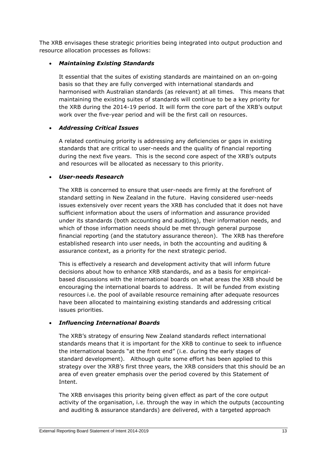The XRB envisages these strategic priorities being integrated into output production and resource allocation processes as follows:

### *Maintaining Existing Standards*

It essential that the suites of existing standards are maintained on an on-going basis so that they are fully converged with international standards and harmonised with Australian standards (as relevant) at all times. This means that maintaining the existing suites of standards will continue to be a key priority for the XRB during the 2014-19 period. It will form the core part of the XRB's output work over the five-year period and will be the first call on resources.

### *Addressing Critical Issues*

A related continuing priority is addressing any deficiencies or gaps in existing standards that are critical to user-needs and the quality of financial reporting during the next five years. This is the second core aspect of the XRB's outputs and resources will be allocated as necessary to this priority.

### *User-needs Research*

The XRB is concerned to ensure that user-needs are firmly at the forefront of standard setting in New Zealand in the future. Having considered user-needs issues extensively over recent years the XRB has concluded that it does not have sufficient information about the users of information and assurance provided under its standards (both accounting and auditing), their information needs, and which of those information needs should be met through general purpose financial reporting (and the statutory assurance thereon). The XRB has therefore established research into user needs, in both the accounting and auditing & assurance context, as a priority for the next strategic period.

This is effectively a research and development activity that will inform future decisions about how to enhance XRB standards, and as a basis for empiricalbased discussions with the international boards on what areas the XRB should be encouraging the international boards to address. It will be funded from existing resources i.e. the pool of available resource remaining after adequate resources have been allocated to maintaining existing standards and addressing critical issues priorities.

### *Influencing International Boards*

The XRB's strategy of ensuring New Zealand standards reflect international standards means that it is important for the XRB to continue to seek to influence the international boards "at the front end" (i.e. during the early stages of standard development). Although quite some effort has been applied to this strategy over the XRB's first three years, the XRB considers that this should be an area of even greater emphasis over the period covered by this Statement of Intent.

The XRB envisages this priority being given effect as part of the core output activity of the organisation, i.e. through the way in which the outputs (accounting and auditing & assurance standards) are delivered, with a targeted approach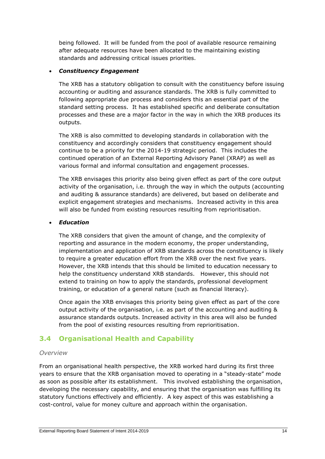being followed. It will be funded from the pool of available resource remaining after adequate resources have been allocated to the maintaining existing standards and addressing critical issues priorities.

### *Constituency Engagement*

The XRB has a statutory obligation to consult with the constituency before issuing accounting or auditing and assurance standards. The XRB is fully committed to following appropriate due process and considers this an essential part of the standard setting process. It has established specific and deliberate consultation processes and these are a major factor in the way in which the XRB produces its outputs.

The XRB is also committed to developing standards in collaboration with the constituency and accordingly considers that constituency engagement should continue to be a priority for the 2014-19 strategic period. This includes the continued operation of an External Reporting Advisory Panel (XRAP) as well as various formal and informal consultation and engagement processes.

The XRB envisages this priority also being given effect as part of the core output activity of the organisation, i.e. through the way in which the outputs (accounting and auditing & assurance standards) are delivered, but based on deliberate and explicit engagement strategies and mechanisms. Increased activity in this area will also be funded from existing resources resulting from reprioritisation.

### *Education*

The XRB considers that given the amount of change, and the complexity of reporting and assurance in the modern economy, the proper understanding, implementation and application of XRB standards across the constituency is likely to require a greater education effort from the XRB over the next five years. However, the XRB intends that this should be limited to education necessary to help the constituency understand XRB standards. However, this should not extend to training on how to apply the standards, professional development training, or education of a general nature (such as financial literacy).

Once again the XRB envisages this priority being given effect as part of the core output activity of the organisation, i.e. as part of the accounting and auditing & assurance standards outputs. Increased activity in this area will also be funded from the pool of existing resources resulting from reprioritisation.

### **3.4 Organisational Health and Capability**

#### *Overview*

From an organisational health perspective, the XRB worked hard during its first three years to ensure that the XRB organisation moved to operating in a "steady-state" mode as soon as possible after its establishment. This involved establishing the organisation, developing the necessary capability, and ensuring that the organisation was fulfilling its statutory functions effectively and efficiently. A key aspect of this was establishing a cost-control, value for money culture and approach within the organisation.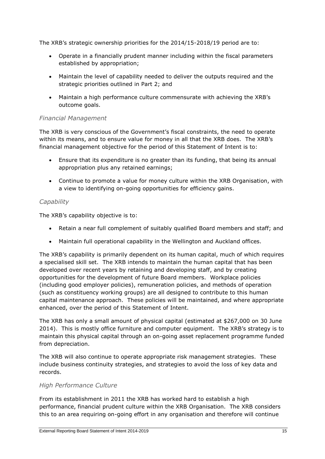The XRB's strategic ownership priorities for the 2014/15-2018/19 period are to:

- Operate in a financially prudent manner including within the fiscal parameters established by appropriation;
- Maintain the level of capability needed to deliver the outputs required and the strategic priorities outlined in Part 2; and
- Maintain a high performance culture commensurate with achieving the XRB's outcome goals.

### *Financial Management*

The XRB is very conscious of the Government's fiscal constraints, the need to operate within its means, and to ensure value for money in all that the XRB does. The XRB's financial management objective for the period of this Statement of Intent is to:

- Ensure that its expenditure is no greater than its funding, that being its annual appropriation plus any retained earnings;
- Continue to promote a value for money culture within the XRB Organisation, with a view to identifying on-going opportunities for efficiency gains.

### *Capability*

The XRB's capability objective is to:

- Retain a near full complement of suitably qualified Board members and staff; and
- Maintain full operational capability in the Wellington and Auckland offices.

The XRB's capability is primarily dependent on its human capital, much of which requires a specialised skill set. The XRB intends to maintain the human capital that has been developed over recent years by retaining and developing staff, and by creating opportunities for the development of future Board members. Workplace policies (including good employer policies), remuneration policies, and methods of operation (such as constituency working groups) are all designed to contribute to this human capital maintenance approach. These policies will be maintained, and where appropriate enhanced, over the period of this Statement of Intent.

The XRB has only a small amount of physical capital (estimated at \$267,000 on 30 June 2014). This is mostly office furniture and computer equipment. The XRB's strategy is to maintain this physical capital through an on-going asset replacement programme funded from depreciation.

The XRB will also continue to operate appropriate risk management strategies. These include business continuity strategies, and strategies to avoid the loss of key data and records.

### *High Performance Culture*

From its establishment in 2011 the XRB has worked hard to establish a high performance, financial prudent culture within the XRB Organisation. The XRB considers this to an area requiring on-going effort in any organisation and therefore will continue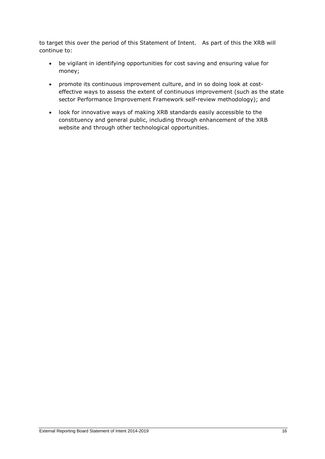to target this over the period of this Statement of Intent. As part of this the XRB will continue to:

- be vigilant in identifying opportunities for cost saving and ensuring value for money;
- promote its continuous improvement culture, and in so doing look at costeffective ways to assess the extent of continuous improvement (such as the state sector Performance Improvement Framework self-review methodology); and
- look for innovative ways of making XRB standards easily accessible to the constituency and general public, including through enhancement of the XRB website and through other technological opportunities.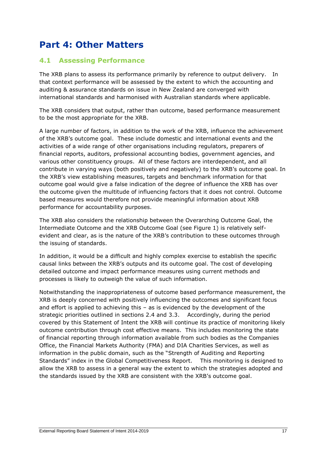### **Part 4: Other Matters**

### **4.1 Assessing Performance**

The XRB plans to assess its performance primarily by reference to output delivery. In that context performance will be assessed by the extent to which the accounting and auditing & assurance standards on issue in New Zealand are converged with international standards and harmonised with Australian standards where applicable.

The XRB considers that output, rather than outcome, based performance measurement to be the most appropriate for the XRB.

A large number of factors, in addition to the work of the XRB, influence the achievement of the XRB's outcome goal. These include domestic and international events and the activities of a wide range of other organisations including regulators, preparers of financial reports, auditors, professional accounting bodies, government agencies, and various other constituency groups. All of these factors are interdependent, and all contribute in varying ways (both positively and negatively) to the XRB's outcome goal. In the XRB's view establishing measures, targets and benchmark information for that outcome goal would give a false indication of the degree of influence the XRB has over the outcome given the multitude of influencing factors that it does not control. Outcome based measures would therefore not provide meaningful information about XRB performance for accountability purposes.

The XRB also considers the relationship between the Overarching Outcome Goal, the Intermediate Outcome and the XRB Outcome Goal (see Figure 1) is relatively selfevident and clear, as is the nature of the XRB's contribution to these outcomes through the issuing of standards.

In addition, it would be a difficult and highly complex exercise to establish the specific causal links between the XRB's outputs and its outcome goal. The cost of developing detailed outcome and impact performance measures using current methods and processes is likely to outweigh the value of such information.

Notwithstanding the inappropriateness of outcome based performance measurement, the XRB is deeply concerned with positively influencing the outcomes and significant focus and effort is applied to achieving this – as is evidenced by the development of the strategic priorities outlined in sections 2.4 and 3.3. Accordingly, during the period covered by this Statement of Intent the XRB will continue its practice of monitoring likely outcome contribution through cost effective means. This includes monitoring the state of financial reporting through information available from such bodies as the Companies Office, the Financial Markets Authority (FMA) and DIA Charities Services, as well as information in the public domain, such as the "Strength of Auditing and Reporting Standards" index in the Global Competitiveness Report. This monitoring is designed to allow the XRB to assess in a general way the extent to which the strategies adopted and the standards issued by the XRB are consistent with the XRB's outcome goal.